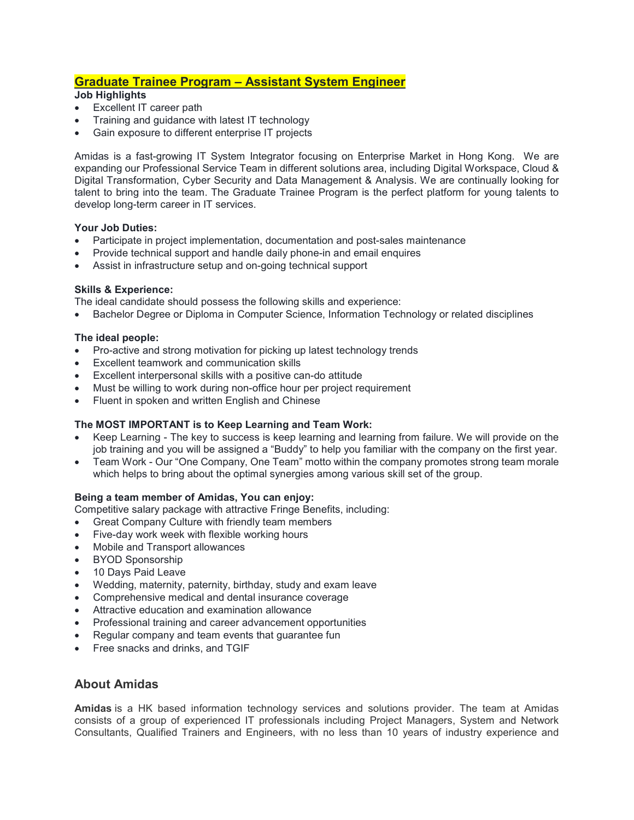# **Graduate Trainee Program – Assistant System Engineer**

## **Job Highlights**

- Excellent IT career path
- Training and guidance with latest IT technology
- Gain exposure to different enterprise IT projects

Amidas is a fast-growing IT System Integrator focusing on Enterprise Market in Hong Kong. We are expanding our Professional Service Team in different solutions area, including Digital Workspace, Cloud & Digital Transformation, Cyber Security and Data Management & Analysis. We are continually looking for talent to bring into the team. The Graduate Trainee Program is the perfect platform for young talents to develop long-term career in IT services.

#### **Your Job Duties:**

- Participate in project implementation, documentation and post-sales maintenance
- Provide technical support and handle daily phone-in and email enquires
- Assist in infrastructure setup and on-going technical support

#### **Skills & Experience:**

The ideal candidate should possess the following skills and experience:

• Bachelor Degree or Diploma in Computer Science, Information Technology or related disciplines

#### **The ideal people:**

- Pro-active and strong motivation for picking up latest technology trends
- Excellent teamwork and communication skills
- Excellent interpersonal skills with a positive can-do attitude
- Must be willing to work during non-office hour per project requirement
- Fluent in spoken and written English and Chinese

## **The MOST IMPORTANT is to Keep Learning and Team Work:**

- Keep Learning The key to success is keep learning and learning from failure. We will provide on the job training and you will be assigned a "Buddy" to help you familiar with the company on the first year.
- Team Work Our "One Company, One Team" motto within the company promotes strong team morale which helps to bring about the optimal synergies among various skill set of the group.

#### **Being a team member of Amidas, You can enjoy:**

- Competitive salary package with attractive Fringe Benefits, including:
- Great Company Culture with friendly team members
- Five-day work week with flexible working hours
- Mobile and Transport allowances
- BYOD Sponsorship
- 10 Days Paid Leave
- Wedding, maternity, paternity, birthday, study and exam leave
- Comprehensive medical and dental insurance coverage
- Attractive education and examination allowance
- Professional training and career advancement opportunities
- Regular company and team events that guarantee fun
- Free snacks and drinks, and TGIF

# **About Amidas**

**Amidas** is a HK based information technology services and solutions provider. The team at Amidas consists of a group of experienced IT professionals including Project Managers, System and Network Consultants, Qualified Trainers and Engineers, with no less than 10 years of industry experience and